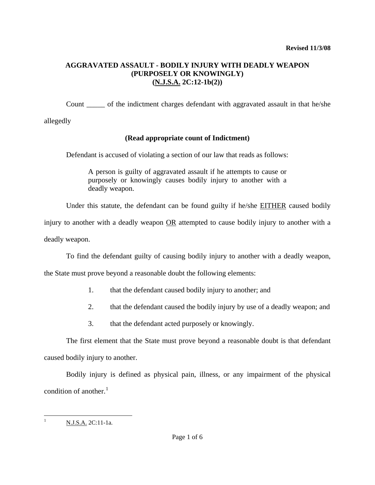### **AGGRAVATED ASSAULT - BODILY INJURY WITH DEADLY WEAPON (PURPOSELY OR KNOWINGLY) (N.J.S.A. 2C:12-1b(2))**

Count \_\_\_\_\_ of the indictment charges defendant with aggravated assault in that he/she

allegedly

# **(Read appropriate count of Indictment)**

Defendant is accused of violating a section of our law that reads as follows:

A person is guilty of aggravated assault if he attempts to cause or purposely or knowingly causes bodily injury to another with a deadly weapon.

Under this statute, the defendant can be found guilty if he/she EITHER caused bodily

injury to another with a deadly weapon OR attempted to cause bodily injury to another with a deadly weapon.

To find the defendant guilty of causing bodily injury to another with a deadly weapon,

the State must prove beyond a reasonable doubt the following elements:

- 1. that the defendant caused bodily injury to another; and
- 2. that the defendant caused the bodily injury by use of a deadly weapon; and
- 3. that the defendant acted purposely or knowingly.

The first element that the State must prove beyond a reasonable doubt is that defendant caused bodily injury to another.

Bodily injury is defined as physical pain, illness, or any impairment of the physical condition of another. $1$ 

<span id="page-0-1"></span><span id="page-0-0"></span> $\overline{a}$ 

<sup>1</sup> N.J.S.A. 2C:11-1a.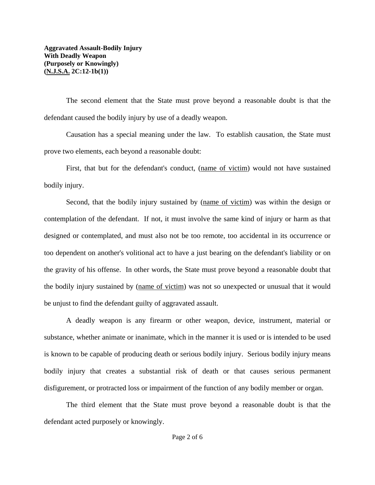The second element that the State must prove beyond a reasonable doubt is that the defendant caused the bodily injury by use of a deadly weapon.

Causation has a special meaning under the law. To establish causation, the State must prove two elements, each beyond a reasonable doubt:

First, that but for the defendant's conduct, (name of victim) would not have sustained bodily injury.

Second, that the bodily injury sustained by (name of victim) was within the design or contemplation of the defendant. If not, it must involve the same kind of injury or harm as that designed or contemplated, and must also not be too remote, too accidental in its occurrence or too dependent on another's volitional act to have a just bearing on the defendant's liability or on the gravity of his offense. In other words, the State must prove beyond a reasonable doubt that the bodily injury sustained by (name of victim) was not so unexpected or unusual that it would be unjust to find the defendant guilty of aggravated assault.

A deadly weapon is any firearm or other weapon, device, instrument, material or substance, whether animate or inanimate, which in the manner it is used or is intended to be used is known to be capable of producing death or serious bodily injury. Serious bodily injury means bodily injury that creates a substantial risk of death or that causes serious permanent disfigurement, or protracted loss or impairment of the function of any bodily member or organ.

The third element that the State must prove beyond a reasonable doubt is that the defendant acted purposely or knowingly.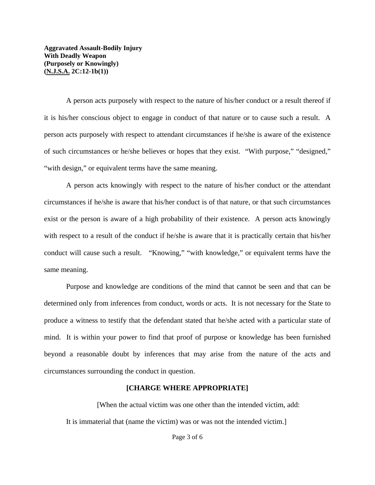**Aggravated Assault-Bodily Injury With Deadly Weapon (Purposely or Knowingly) (N.J.S.A. 2C:12-1b(1))** 

A person acts purposely with respect to the nature of his/her conduct or a result thereof if it is his/her conscious object to engage in conduct of that nature or to cause such a result. A person acts purposely with respect to attendant circumstances if he/she is aware of the existence of such circumstances or he/she believes or hopes that they exist. "With purpose," "designed," "with design," or equivalent terms have the same meaning.

A person acts knowingly with respect to the nature of his/her conduct or the attendant circumstances if he/she is aware that his/her conduct is of that nature, or that such circumstances exist or the person is aware of a high probability of their existence. A person acts knowingly with respect to a result of the conduct if he/she is aware that it is practically certain that his/her conduct will cause such a result. "Knowing," "with knowledge," or equivalent terms have the same meaning.

Purpose and knowledge are conditions of the mind that cannot be seen and that can be determined only from inferences from conduct, words or acts. It is not necessary for the State to produce a witness to testify that the defendant stated that he/she acted with a particular state of mind. It is within your power to find that proof of purpose or knowledge has been furnished beyond a reasonable doubt by inferences that may arise from the nature of the acts and circumstances surrounding the conduct in question.

#### **[CHARGE WHERE APPROPRIATE]**

[When the actual victim was one other than the intended victim, add: It is immaterial that (name the victim) was or was not the intended victim.]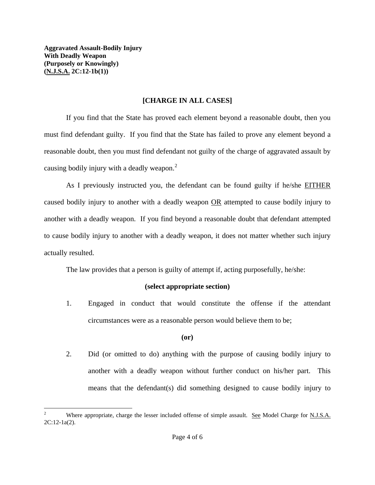$\overline{a}$ 

## **[CHARGE IN ALL CASES]**

If you find that the State has proved each element beyond a reasonable doubt, then you must find defendant guilty. If you find that the State has failed to prove any element beyond a reasonable doubt, then you must find defendant not guilty of the charge of aggravated assault by causing bodily injury with a deadly weapon.<sup>[2](#page-0-1)</sup>

As I previously instructed you, the defendant can be found guilty if he/she EITHER caused bodily injury to another with a deadly weapon OR attempted to cause bodily injury to another with a deadly weapon. If you find beyond a reasonable doubt that defendant attempted to cause bodily injury to another with a deadly weapon, it does not matter whether such injury actually resulted.

The law provides that a person is guilty of attempt if, acting purposefully, he/she:

# **(select appropriate section)**

1. Engaged in conduct that would constitute the offense if the attendant circumstances were as a reasonable person would believe them to be;

### **(or)**

2. Did (or omitted to do) anything with the purpose of causing bodily injury to another with a deadly weapon without further conduct on his/her part. This means that the defendant(s) did something designed to cause bodily injury to

<span id="page-3-0"></span><sup>2</sup> Where appropriate, charge the lesser included offense of simple assault. See Model Charge for N.J.S.A. 2C:12-1a(2).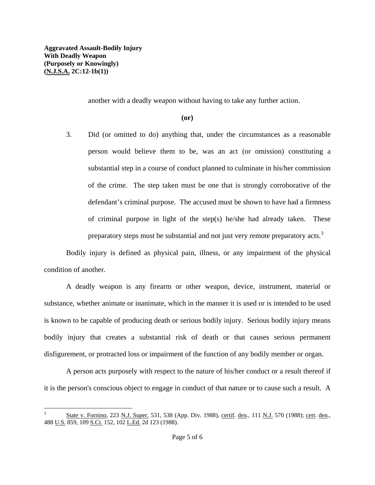1

another with a deadly weapon without having to take any further action.

**(or)** 

 3. Did (or omitted to do) anything that, under the circumstances as a reasonable person would believe them to be, was an act (or omission) constituting a substantial step in a course of conduct planned to culminate in his/her commission of the crime. The step taken must be one that is strongly corroborative of the defendant's criminal purpose. The accused must be shown to have had a firmness of criminal purpose in light of the step(s) he/she had already taken. These preparatory steps must be substantial and not just very remote preparatory acts.<sup>[3](#page-3-0)</sup>

Bodily injury is defined as physical pain, illness, or any impairment of the physical condition of another.

A deadly weapon is any firearm or other weapon, device, instrument, material or substance, whether animate or inanimate, which in the manner it is used or is intended to be used is known to be capable of producing death or serious bodily injury. Serious bodily injury means bodily injury that creates a substantial risk of death or that causes serious permanent disfigurement, or protracted loss or impairment of the function of any bodily member or organ.

A person acts purposely with respect to the nature of his/her conduct or a result thereof if it is the person's conscious object to engage in conduct of that nature or to cause such a result. A

<sup>3</sup> State v. Fornino, 223 N.J. Super. 531, 538 (App. Div. 1988), certif. den., 111 N.J. 570 (1988); cert. den., 488 U.S. 859, 109 S.Ct. 152, 102 L.Ed. 2d 123 (1988).